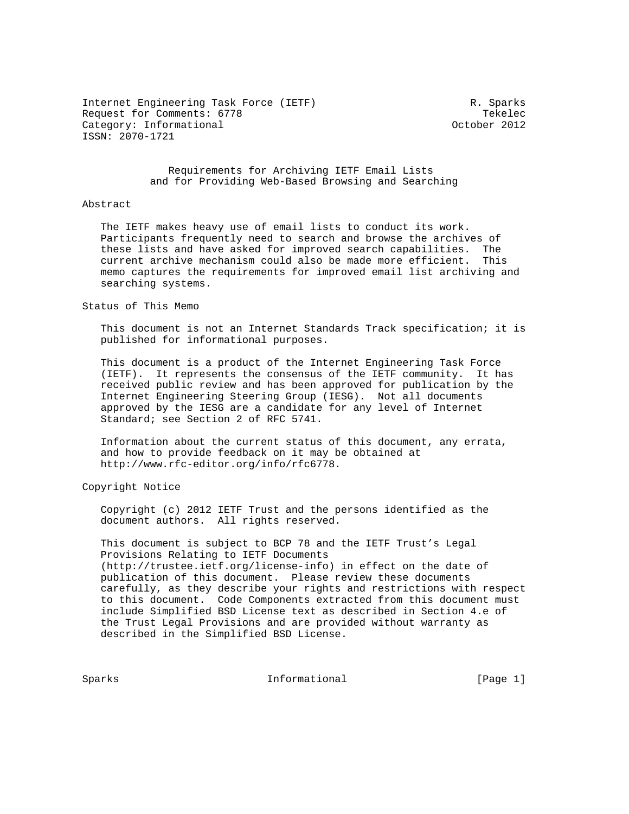Internet Engineering Task Force (IETF) R. Sparks Request for Comments: 6778 Tekelec<br>Category: Informational example: The Category: Informational Category: Informational ISSN: 2070-1721

# Requirements for Archiving IETF Email Lists and for Providing Web-Based Browsing and Searching

### Abstract

 The IETF makes heavy use of email lists to conduct its work. Participants frequently need to search and browse the archives of these lists and have asked for improved search capabilities. The current archive mechanism could also be made more efficient. This memo captures the requirements for improved email list archiving and searching systems.

#### Status of This Memo

 This document is not an Internet Standards Track specification; it is published for informational purposes.

 This document is a product of the Internet Engineering Task Force (IETF). It represents the consensus of the IETF community. It has received public review and has been approved for publication by the Internet Engineering Steering Group (IESG). Not all documents approved by the IESG are a candidate for any level of Internet Standard; see Section 2 of RFC 5741.

 Information about the current status of this document, any errata, and how to provide feedback on it may be obtained at http://www.rfc-editor.org/info/rfc6778.

Copyright Notice

 Copyright (c) 2012 IETF Trust and the persons identified as the document authors. All rights reserved.

 This document is subject to BCP 78 and the IETF Trust's Legal Provisions Relating to IETF Documents (http://trustee.ietf.org/license-info) in effect on the date of publication of this document. Please review these documents carefully, as they describe your rights and restrictions with respect to this document. Code Components extracted from this document must include Simplified BSD License text as described in Section 4.e of the Trust Legal Provisions and are provided without warranty as described in the Simplified BSD License.

Sparks **Informational** [Page 1]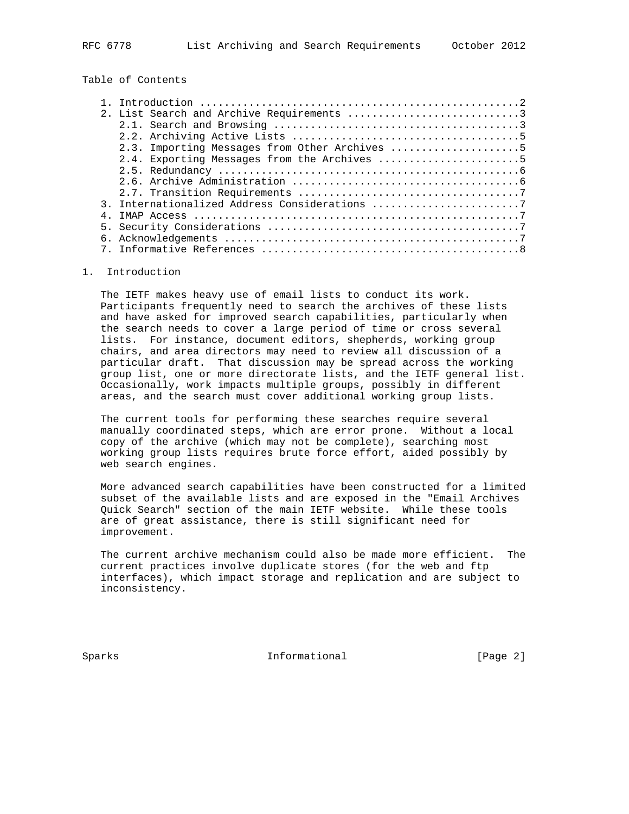Table of Contents

| 2. List Search and Archive Requirements 3     |  |
|-----------------------------------------------|--|
|                                               |  |
|                                               |  |
| 2.3. Importing Messages from Other Archives 5 |  |
| 2.4. Exporting Messages from the Archives 5   |  |
|                                               |  |
|                                               |  |
|                                               |  |
| 3. Internationalized Address Considerations 7 |  |
|                                               |  |
|                                               |  |
|                                               |  |
|                                               |  |

# 1. Introduction

 The IETF makes heavy use of email lists to conduct its work. Participants frequently need to search the archives of these lists and have asked for improved search capabilities, particularly when the search needs to cover a large period of time or cross several lists. For instance, document editors, shepherds, working group chairs, and area directors may need to review all discussion of a particular draft. That discussion may be spread across the working group list, one or more directorate lists, and the IETF general list. Occasionally, work impacts multiple groups, possibly in different areas, and the search must cover additional working group lists.

 The current tools for performing these searches require several manually coordinated steps, which are error prone. Without a local copy of the archive (which may not be complete), searching most working group lists requires brute force effort, aided possibly by web search engines.

 More advanced search capabilities have been constructed for a limited subset of the available lists and are exposed in the "Email Archives Quick Search" section of the main IETF website. While these tools are of great assistance, there is still significant need for improvement.

 The current archive mechanism could also be made more efficient. The current practices involve duplicate stores (for the web and ftp interfaces), which impact storage and replication and are subject to inconsistency.

Sparks **Informational** [Page 2]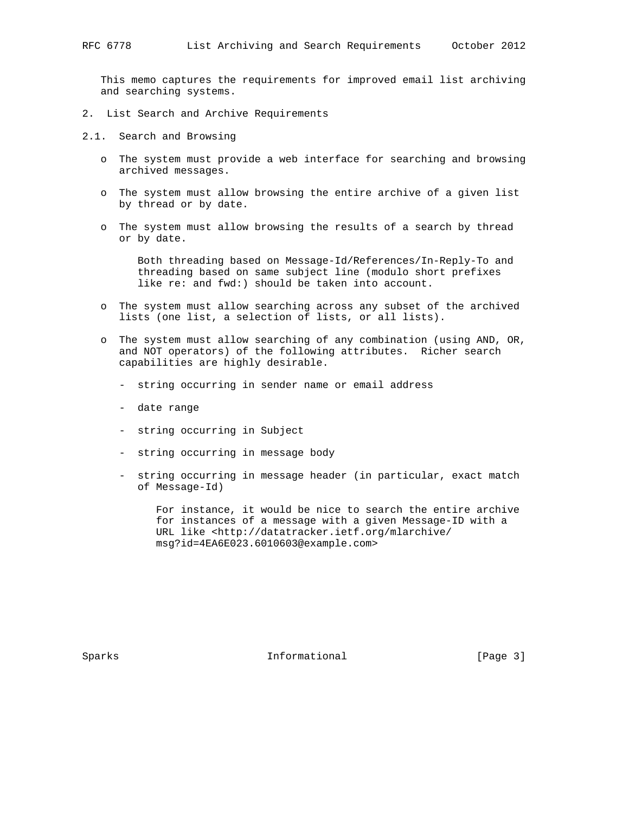This memo captures the requirements for improved email list archiving and searching systems.

- 2. List Search and Archive Requirements
- 2.1. Search and Browsing
	- o The system must provide a web interface for searching and browsing archived messages.
	- o The system must allow browsing the entire archive of a given list by thread or by date.
	- o The system must allow browsing the results of a search by thread or by date.

 Both threading based on Message-Id/References/In-Reply-To and threading based on same subject line (modulo short prefixes like re: and fwd:) should be taken into account.

- o The system must allow searching across any subset of the archived lists (one list, a selection of lists, or all lists).
- o The system must allow searching of any combination (using AND, OR, and NOT operators) of the following attributes. Richer search capabilities are highly desirable.
	- string occurring in sender name or email address
	- date range
	- string occurring in Subject
	- string occurring in message body
	- string occurring in message header (in particular, exact match of Message-Id)

 For instance, it would be nice to search the entire archive for instances of a message with a given Message-ID with a URL like <http://datatracker.ietf.org/mlarchive/ msg?id=4EA6E023.6010603@example.com>

Sparks **Informational** [Page 3]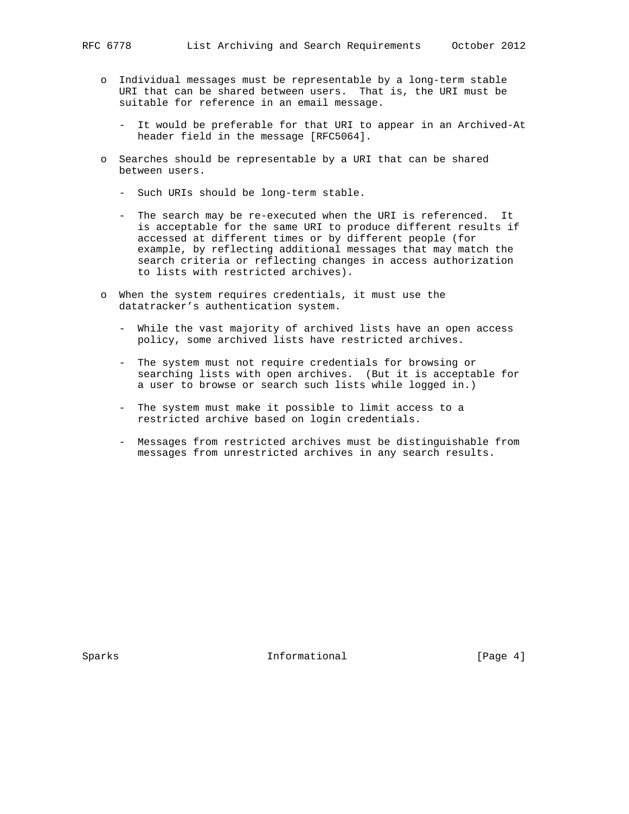- o Individual messages must be representable by a long-term stable URI that can be shared between users. That is, the URI must be suitable for reference in an email message.
	- It would be preferable for that URI to appear in an Archived-At header field in the message [RFC5064].
- o Searches should be representable by a URI that can be shared between users.
	- Such URIs should be long-term stable.
	- The search may be re-executed when the URI is referenced. It is acceptable for the same URI to produce different results if accessed at different times or by different people (for example, by reflecting additional messages that may match the search criteria or reflecting changes in access authorization to lists with restricted archives).
- o When the system requires credentials, it must use the datatracker's authentication system.
	- While the vast majority of archived lists have an open access policy, some archived lists have restricted archives.
	- The system must not require credentials for browsing or searching lists with open archives. (But it is acceptable for a user to browse or search such lists while logged in.)
	- The system must make it possible to limit access to a restricted archive based on login credentials.
	- Messages from restricted archives must be distinguishable from messages from unrestricted archives in any search results.

Sparks **Informational** [Page 4]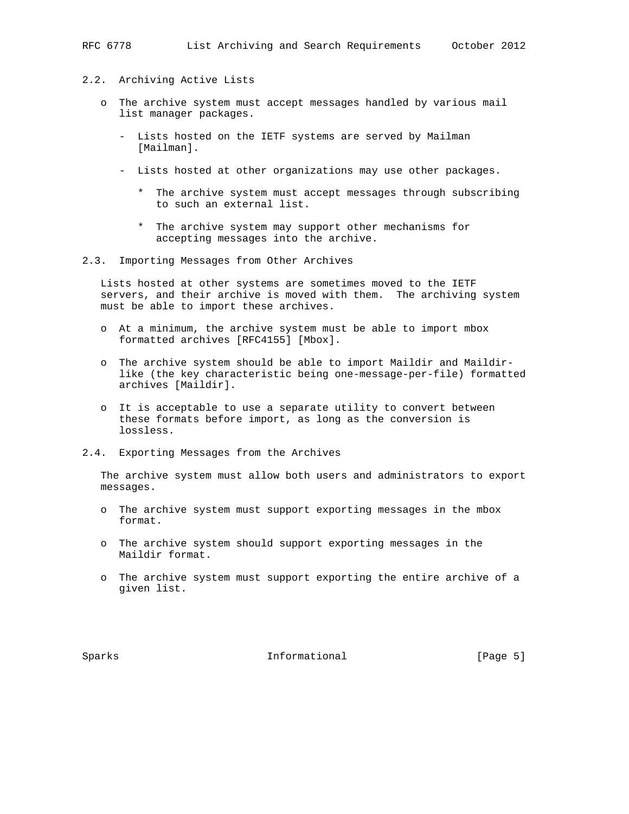- 2.2. Archiving Active Lists
	- o The archive system must accept messages handled by various mail list manager packages.
		- Lists hosted on the IETF systems are served by Mailman [Mailman].
		- Lists hosted at other organizations may use other packages.
			- \* The archive system must accept messages through subscribing to such an external list.
			- \* The archive system may support other mechanisms for accepting messages into the archive.
- 2.3. Importing Messages from Other Archives

 Lists hosted at other systems are sometimes moved to the IETF servers, and their archive is moved with them. The archiving system must be able to import these archives.

- o At a minimum, the archive system must be able to import mbox formatted archives [RFC4155] [Mbox].
- o The archive system should be able to import Maildir and Maildir like (the key characteristic being one-message-per-file) formatted archives [Maildir].
- o It is acceptable to use a separate utility to convert between these formats before import, as long as the conversion is lossless.
- 2.4. Exporting Messages from the Archives

 The archive system must allow both users and administrators to export messages.

- o The archive system must support exporting messages in the mbox format.
- o The archive system should support exporting messages in the Maildir format.
- o The archive system must support exporting the entire archive of a given list.

Sparks **Informational** [Page 5]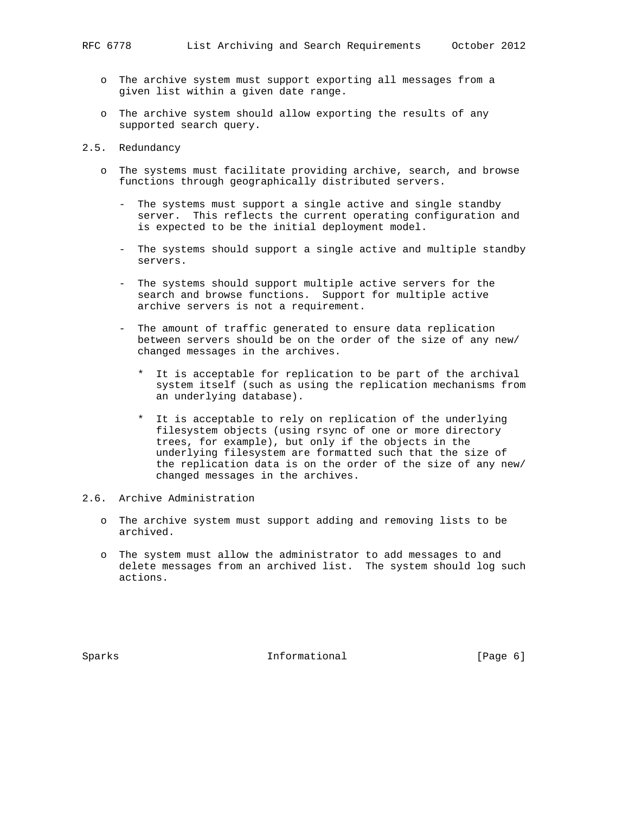- o The archive system must support exporting all messages from a given list within a given date range.
- o The archive system should allow exporting the results of any supported search query.
- 2.5. Redundancy
	- o The systems must facilitate providing archive, search, and browse functions through geographically distributed servers.
		- The systems must support a single active and single standby server. This reflects the current operating configuration and is expected to be the initial deployment model.
		- The systems should support a single active and multiple standby servers.
		- The systems should support multiple active servers for the search and browse functions. Support for multiple active archive servers is not a requirement.
		- The amount of traffic generated to ensure data replication between servers should be on the order of the size of any new/ changed messages in the archives.
			- \* It is acceptable for replication to be part of the archival system itself (such as using the replication mechanisms from an underlying database).
			- \* It is acceptable to rely on replication of the underlying filesystem objects (using rsync of one or more directory trees, for example), but only if the objects in the underlying filesystem are formatted such that the size of the replication data is on the order of the size of any new/ changed messages in the archives.
- 2.6. Archive Administration
	- o The archive system must support adding and removing lists to be archived.
	- o The system must allow the administrator to add messages to and delete messages from an archived list. The system should log such actions.

Sparks **Informational** [Page 6]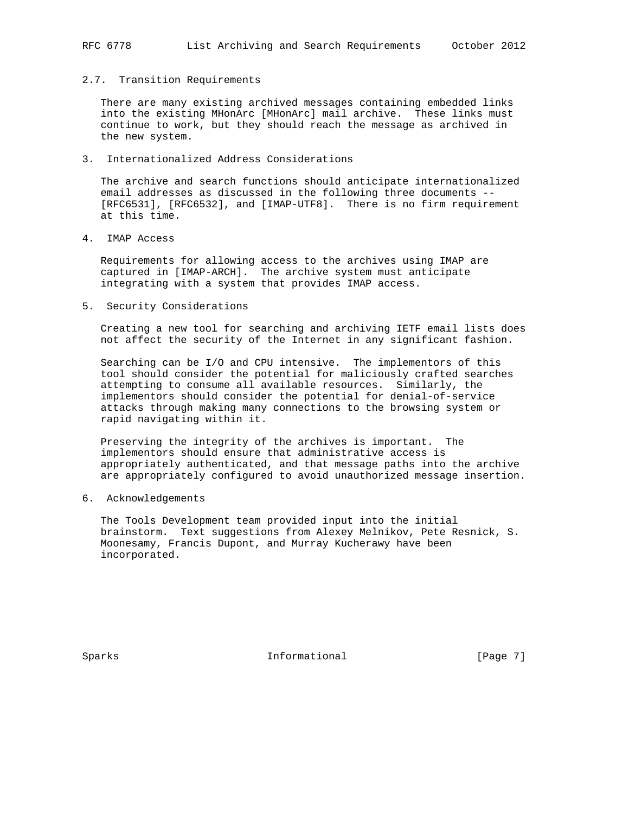# 2.7. Transition Requirements

 There are many existing archived messages containing embedded links into the existing MHonArc [MHonArc] mail archive. These links must continue to work, but they should reach the message as archived in the new system.

3. Internationalized Address Considerations

 The archive and search functions should anticipate internationalized email addresses as discussed in the following three documents -- [RFC6531], [RFC6532], and [IMAP-UTF8]. There is no firm requirement at this time.

4. IMAP Access

 Requirements for allowing access to the archives using IMAP are captured in [IMAP-ARCH]. The archive system must anticipate integrating with a system that provides IMAP access.

5. Security Considerations

 Creating a new tool for searching and archiving IETF email lists does not affect the security of the Internet in any significant fashion.

 Searching can be I/O and CPU intensive. The implementors of this tool should consider the potential for maliciously crafted searches attempting to consume all available resources. Similarly, the implementors should consider the potential for denial-of-service attacks through making many connections to the browsing system or rapid navigating within it.

 Preserving the integrity of the archives is important. The implementors should ensure that administrative access is appropriately authenticated, and that message paths into the archive are appropriately configured to avoid unauthorized message insertion.

6. Acknowledgements

 The Tools Development team provided input into the initial brainstorm. Text suggestions from Alexey Melnikov, Pete Resnick, S. Moonesamy, Francis Dupont, and Murray Kucherawy have been incorporated.

Sparks **Informational** [Page 7]